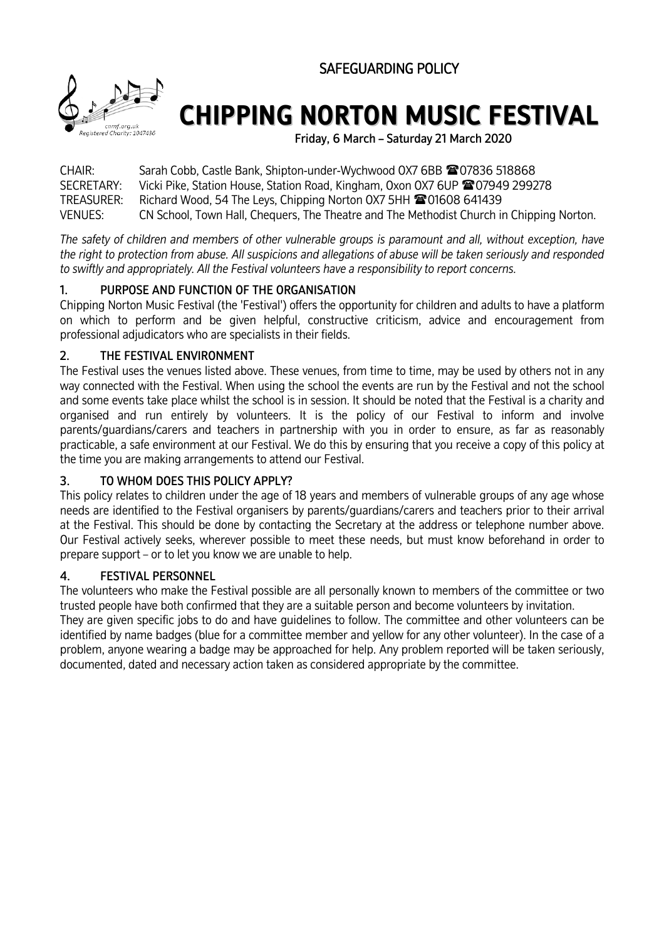SAFEGUARDING POLICY



# **CHIPPING NORTON MUSIC FESTIVAL**

Friday, 6 March – Saturday 21 March 2020

CHAIR: Sarah Cobb, Castle Bank, Shipton-under-Wychwood 0X7 6BB <sup>2</sup> 07836 518868 SECRETARY: Vicki Pike, Station House, Station Road, Kingham, Oxon OX7 6UP 207949 299278 TREASURER: Richard Wood, 54 The Leys, Chipping Norton 0X7 5HH <sup>1</sup> 101608 641439 VENUES: CN School, Town Hall, Chequers, The Theatre and The Methodist Church in Chipping Norton.

*The safety of children and members of other vulnerable groups is paramount and all, without exception, have the right to protection from abuse. All suspicions and allegations of abuse will be taken seriously and responded to swiftly and appropriately. All the Festival volunteers have a responsibility to report concerns.* 

# 1. PURPOSE AND FUNCTION OF THE ORGANISATION

Chipping Norton Music Festival (the 'Festival') offers the opportunity for children and adults to have a platform on which to perform and be given helpful, constructive criticism, advice and encouragement from professional adjudicators who are specialists in their fields.

## 2. THE FESTIVAL ENVIRONMENT

The Festival uses the venues listed above. These venues, from time to time, may be used by others not in any way connected with the Festival. When using the school the events are run by the Festival and not the school and some events take place whilst the school is in session. It should be noted that the Festival is a charity and organised and run entirely by volunteers. It is the policy of our Festival to inform and involve parents/guardians/carers and teachers in partnership with you in order to ensure, as far as reasonably practicable, a safe environment at our Festival. We do this by ensuring that you receive a copy of this policy at the time you are making arrangements to attend our Festival.

# 3. TO WHOM DOES THIS POLICY APPLY?

This policy relates to children under the age of 18 years and members of vulnerable groups of any age whose needs are identified to the Festival organisers by parents/guardians/carers and teachers prior to their arrival at the Festival. This should be done by contacting the Secretary at the address or telephone number above. Our Festival actively seeks, wherever possible to meet these needs, but must know beforehand in order to prepare support – or to let you know we are unable to help.

## 4. FESTIVAL PERSONNEL

The volunteers who make the Festival possible are all personally known to members of the committee or two trusted people have both confirmed that they are a suitable person and become volunteers by invitation.

They are given specific jobs to do and have guidelines to follow. The committee and other volunteers can be identified by name badges (blue for a committee member and yellow for any other volunteer). In the case of a problem, anyone wearing a badge may be approached for help. Any problem reported will be taken seriously, documented, dated and necessary action taken as considered appropriate by the committee.